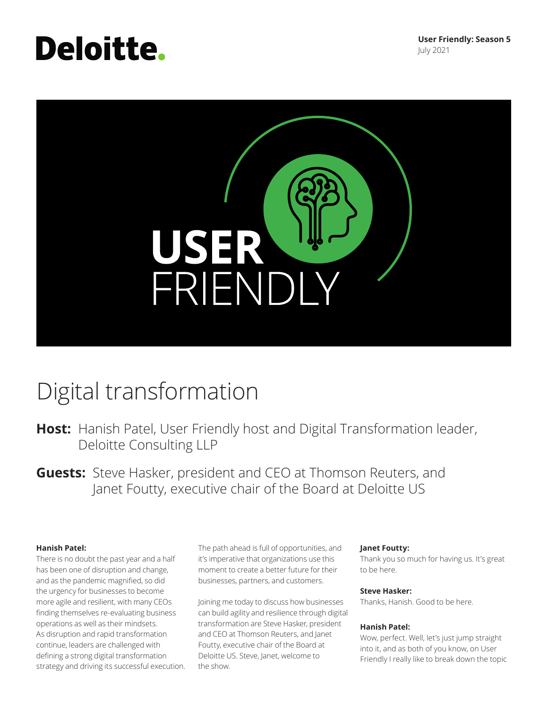# **Deloitte.**

**User Friendly: Season 5** July 2021



# Digital transformation

- **Host:** Hanish Patel, User Friendly host and Digital Transformation leader, Deloitte Consulting LLP
- **Guests:** Steve Hasker, president and CEO at Thomson Reuters, and Janet Foutty, executive chair of the Board at Deloitte US

#### **Hanish Patel:**

There is no doubt the past year and a half has been one of disruption and change, and as the pandemic magnified, so did the urgency for businesses to become more agile and resilient, with many CEOs finding themselves re-evaluating business operations as well as their mindsets. As disruption and rapid transformation continue, leaders are challenged with defining a strong digital transformation strategy and driving its successful execution. The path ahead is full of opportunities, and it's imperative that organizations use this moment to create a better future for their businesses, partners, and customers.

Joining me today to discuss how businesses can build agility and resilience through digital transformation are Steve Hasker, president and CEO at Thomson Reuters, and Janet Foutty, executive chair of the Board at Deloitte US. Steve, Janet, welcome to the show.

#### **Janet Foutty:**

Thank you so much for having us. It's great to be here.

#### **Steve Hasker:**

Thanks, Hanish. Good to be here.

#### **Hanish Patel:**

Wow, perfect. Well, let's just jump straight into it, and as both of you know, on User Friendly I really like to break down the topic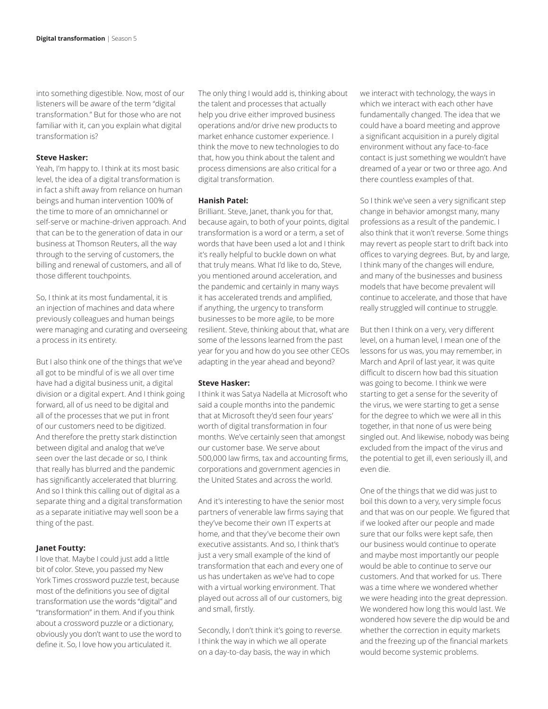into something digestible. Now, most of our listeners will be aware of the term "digital transformation." But for those who are not familiar with it, can you explain what digital transformation is?

#### **Steve Hasker:**

Yeah, I'm happy to. I think at its most basic level, the idea of a digital transformation is in fact a shift away from reliance on human beings and human intervention 100% of the time to more of an omnichannel or self-serve or machine-driven approach. And that can be to the generation of data in our business at Thomson Reuters, all the way through to the serving of customers, the billing and renewal of customers, and all of those different touchpoints.

So, I think at its most fundamental, it is an injection of machines and data where previously colleagues and human beings were managing and curating and overseeing a process in its entirety.

But I also think one of the things that we've all got to be mindful of is we all over time have had a digital business unit, a digital division or a digital expert. And I think going forward, all of us need to be digital and all of the processes that we put in front of our customers need to be digitized. And therefore the pretty stark distinction between digital and analog that we've seen over the last decade or so, I think that really has blurred and the pandemic has significantly accelerated that blurring. And so I think this calling out of digital as a separate thing and a digital transformation as a separate initiative may well soon be a thing of the past.

#### **Janet Foutty:**

I love that. Maybe I could just add a little bit of color. Steve, you passed my New York Times crossword puzzle test, because most of the definitions you see of digital transformation use the words "digital" and "transformation" in them. And if you think about a crossword puzzle or a dictionary, obviously you don't want to use the word to define it. So, I love how you articulated it.

The only thing I would add is, thinking about the talent and processes that actually help you drive either improved business operations and/or drive new products to market enhance customer experience. I think the move to new technologies to do that, how you think about the talent and process dimensions are also critical for a digital transformation.

#### **Hanish Patel:**

Brilliant. Steve, Janet, thank you for that, because again, to both of your points, digital transformation is a word or a term, a set of words that have been used a lot and I think it's really helpful to buckle down on what that truly means. What I'd like to do, Steve, you mentioned around acceleration, and the pandemic and certainly in many ways it has accelerated trends and amplified, if anything, the urgency to transform businesses to be more agile, to be more resilient. Steve, thinking about that, what are some of the lessons learned from the past year for you and how do you see other CEOs adapting in the year ahead and beyond?

#### **Steve Hasker:**

I think it was Satya Nadella at Microsoft who said a couple months into the pandemic that at Microsoft they'd seen four years' worth of digital transformation in four months. We've certainly seen that amongst our customer base. We serve about 500,000 law firms, tax and accounting firms, corporations and government agencies in the United States and across the world.

And it's interesting to have the senior most partners of venerable law firms saying that they've become their own IT experts at home, and that they've become their own executive assistants. And so, I think that's just a very small example of the kind of transformation that each and every one of us has undertaken as we've had to cope with a virtual working environment. That played out across all of our customers, big and small, firstly.

Secondly, I don't think it's going to reverse. I think the way in which we all operate on a day-to-day basis, the way in which

we interact with technology, the ways in which we interact with each other have fundamentally changed. The idea that we could have a board meeting and approve a significant acquisition in a purely digital environment without any face-to-face contact is just something we wouldn't have dreamed of a year or two or three ago. And there countless examples of that.

So I think we've seen a very significant step change in behavior amongst many, many professions as a result of the pandemic. I also think that it won't reverse. Some things may revert as people start to drift back into offices to varying degrees. But, by and large, I think many of the changes will endure, and many of the businesses and business models that have become prevalent will continue to accelerate, and those that have really struggled will continue to struggle.

But then I think on a very, very different level, on a human level, I mean one of the lessons for us was, you may remember, in March and April of last year, it was quite difficult to discern how bad this situation was going to become. I think we were starting to get a sense for the severity of the virus, we were starting to get a sense for the degree to which we were all in this together, in that none of us were being singled out. And likewise, nobody was being excluded from the impact of the virus and the potential to get ill, even seriously ill, and even die.

One of the things that we did was just to boil this down to a very, very simple focus and that was on our people. We figured that if we looked after our people and made sure that our folks were kept safe, then our business would continue to operate and maybe most importantly our people would be able to continue to serve our customers. And that worked for us. There was a time where we wondered whether we were heading into the great depression. We wondered how long this would last. We wondered how severe the dip would be and whether the correction in equity markets and the freezing up of the financial markets would become systemic problems.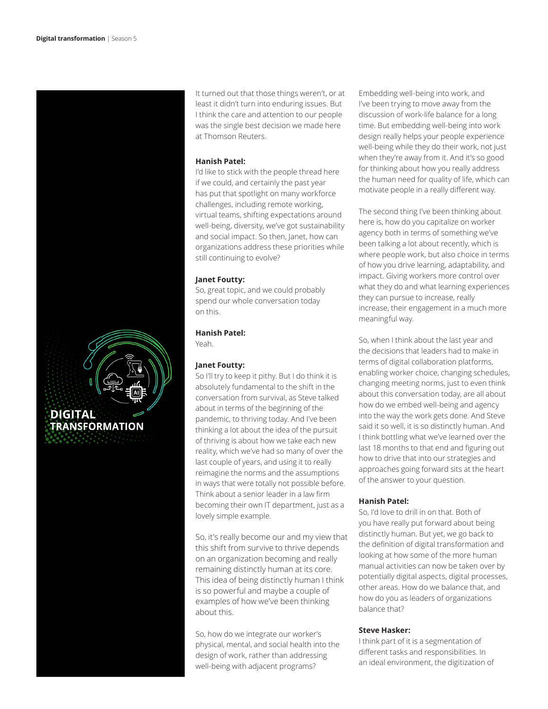

**TRANSFORMATION** 

It turned out that those things weren't, or at least it didn't turn into enduring issues. But I think the care and attention to our people was the single best decision we made here at Thomson Reuters.

### **Hanish Patel:**

I'd like to stick with the people thread here if we could, and certainly the past year has put that spotlight on many workforce challenges, including remote working, virtual teams, shifting expectations around well-being, diversity, we've got sustainability and social impact. So then, Janet, how can organizations address these priorities while still continuing to evolve?

# **Janet Foutty:**

So, great topic, and we could probably spend our whole conversation today on this.

# **Hanish Patel:**

Yeah.

# **Janet Foutty:**

So I'll try to keep it pithy. But I do think it is absolutely fundamental to the shift in the conversation from survival, as Steve talked about in terms of the beginning of the pandemic, to thriving today. And I've been thinking a lot about the idea of the pursuit of thriving is about how we take each new reality, which we've had so many of over the last couple of years, and using it to really reimagine the norms and the assumptions in ways that were totally not possible before. Think about a senior leader in a law firm becoming their own IT department, just as a lovely simple example.

So, it's really become our and my view that this shift from survive to thrive depends on an organization becoming and really remaining distinctly human at its core. This idea of being distinctly human I think is so powerful and maybe a couple of examples of how we've been thinking about this.

So, how do we integrate our worker's physical, mental, and social health into the design of work, rather than addressing well-being with adjacent programs?

Embedding well-being into work, and I've been trying to move away from the discussion of work-life balance for a long time. But embedding well-being into work design really helps your people experience well-being while they do their work, not just when they're away from it. And it's so good for thinking about how you really address the human need for quality of life, which can motivate people in a really different way.

The second thing I've been thinking about here is, how do you capitalize on worker agency both in terms of something we've been talking a lot about recently, which is where people work, but also choice in terms of how you drive learning, adaptability, and impact. Giving workers more control over what they do and what learning experiences they can pursue to increase, really increase, their engagement in a much more meaningful way.

So, when I think about the last year and the decisions that leaders had to make in terms of digital collaboration platforms, enabling worker choice, changing schedules, changing meeting norms, just to even think about this conversation today, are all about how do we embed well-being and agency into the way the work gets done. And Steve said it so well, it is so distinctly human. And I think bottling what we've learned over the last 18 months to that end and figuring out how to drive that into our strategies and approaches going forward sits at the heart of the answer to your question.

# **Hanish Patel:**

So, I'd love to drill in on that. Both of you have really put forward about being distinctly human. But yet, we go back to the definition of digital transformation and looking at how some of the more human manual activities can now be taken over by potentially digital aspects, digital processes, other areas. How do we balance that, and how do you as leaders of organizations balance that?

# **Steve Hasker:**

I think part of it is a segmentation of different tasks and responsibilities. In an ideal environment, the digitization of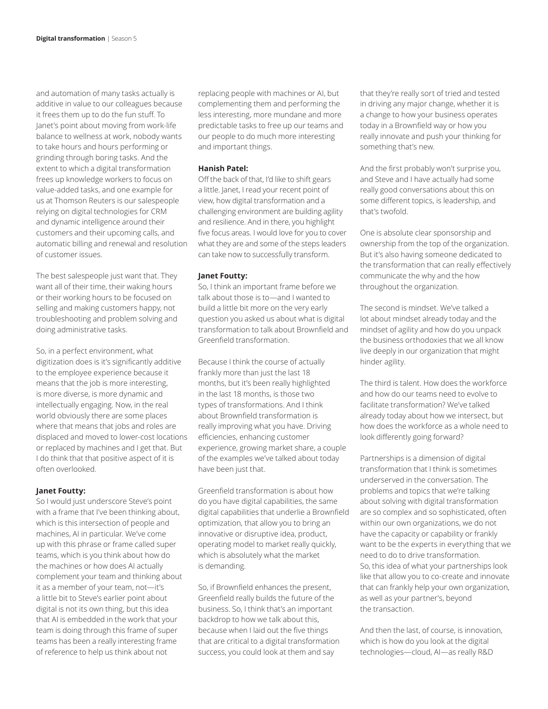and automation of many tasks actually is additive in value to our colleagues because it frees them up to do the fun stuff. To Janet's point about moving from work-life balance to wellness at work, nobody wants to take hours and hours performing or grinding through boring tasks. And the extent to which a digital transformation frees up knowledge workers to focus on value-added tasks, and one example for us at Thomson Reuters is our salespeople relying on digital technologies for CRM and dynamic intelligence around their customers and their upcoming calls, and automatic billing and renewal and resolution of customer issues.

The best salespeople just want that. They want all of their time, their waking hours or their working hours to be focused on selling and making customers happy, not troubleshooting and problem solving and doing administrative tasks.

So, in a perfect environment, what digitization does is it's significantly additive to the employee experience because it means that the job is more interesting, is more diverse, is more dynamic and intellectually engaging. Now, in the real world obviously there are some places where that means that jobs and roles are displaced and moved to lower-cost locations or replaced by machines and I get that. But I do think that that positive aspect of it is often overlooked.

#### **Janet Foutty:**

So I would just underscore Steve's point with a frame that I've been thinking about, which is this intersection of people and machines, AI in particular. We've come up with this phrase or frame called super teams, which is you think about how do the machines or how does AI actually complement your team and thinking about it as a member of your team, not—it's a little bit to Steve's earlier point about digital is not its own thing, but this idea that AI is embedded in the work that your team is doing through this frame of super teams has been a really interesting frame of reference to help us think about not

replacing people with machines or AI, but complementing them and performing the less interesting, more mundane and more predictable tasks to free up our teams and our people to do much more interesting and important things.

#### **Hanish Patel:**

Off the back of that, I'd like to shift gears a little. Janet, I read your recent point of view, how digital transformation and a challenging environment are building agility and resilience. And in there, you highlight five focus areas. I would love for you to cover what they are and some of the steps leaders can take now to successfully transform.

#### **Janet Foutty:**

So, I think an important frame before we talk about those is to—and I wanted to build a little bit more on the very early question you asked us about what is digital transformation to talk about Brownfield and Greenfield transformation.

Because I think the course of actually frankly more than just the last 18 months, but it's been really highlighted in the last 18 months, is those two types of transformations. And I think about Brownfield transformation is really improving what you have. Driving efficiencies, enhancing customer experience, growing market share, a couple of the examples we've talked about today have been just that.

Greenfield transformation is about how do you have digital capabilities, the same digital capabilities that underlie a Brownfield optimization, that allow you to bring an innovative or disruptive idea, product, operating model to market really quickly, which is absolutely what the market is demanding.

So, if Brownfield enhances the present, Greenfield really builds the future of the business. So, I think that's an important backdrop to how we talk about this, because when I laid out the five things that are critical to a digital transformation success, you could look at them and say

that they're really sort of tried and tested in driving any major change, whether it is a change to how your business operates today in a Brownfield way or how you really innovate and push your thinking for something that's new.

And the first probably won't surprise you, and Steve and I have actually had some really good conversations about this on some different topics, is leadership, and that's twofold.

One is absolute clear sponsorship and ownership from the top of the organization. But it's also having someone dedicated to the transformation that can really effectively communicate the why and the how throughout the organization.

The second is mindset. We've talked a lot about mindset already today and the mindset of agility and how do you unpack the business orthodoxies that we all know live deeply in our organization that might hinder agility.

The third is talent. How does the workforce and how do our teams need to evolve to facilitate transformation? We've talked already today about how we intersect, but how does the workforce as a whole need to look differently going forward?

Partnerships is a dimension of digital transformation that I think is sometimes underserved in the conversation. The problems and topics that we're talking about solving with digital transformation are so complex and so sophisticated, often within our own organizations, we do not have the capacity or capability or frankly want to be the experts in everything that we need to do to drive transformation. So, this idea of what your partnerships look like that allow you to co-create and innovate that can frankly help your own organization, as well as your partner's, beyond the transaction.

And then the last, of course, is innovation, which is how do you look at the digital technologies—cloud, AI—as really R&D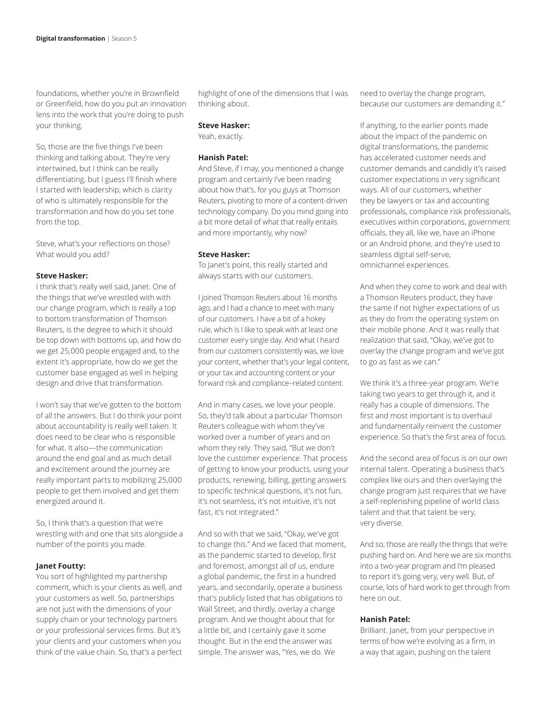foundations, whether you're in Brownfield or Greenfield, how do you put an innovation lens into the work that you're doing to push your thinking.

So, those are the five things I've been thinking and talking about. They're very intertwined, but I think can be really differentiating, but I guess I'll finish where I started with leadership, which is clarity of who is ultimately responsible for the transformation and how do you set tone from the top.

Steve, what's your reflections on those? What would you add?

#### **Steve Hasker:**

I think that's really well said, Janet. One of the things that we've wrestled with with our change program, which is really a top to bottom transformation of Thomson Reuters, is the degree to which it should be top down with bottoms up, and how do we get 25,000 people engaged and, to the extent it's appropriate, how do we get the customer base engaged as well in helping design and drive that transformation.

I won't say that we've gotten to the bottom of all the answers. But I do think your point about accountability is really well taken. It does need to be clear who is responsible for what. It also—the communication around the end goal and as much detail and excitement around the journey are really important parts to mobilizing 25,000 people to get them involved and get them energized around it.

So, I think that's a question that we're wrestling with and one that sits alongside a number of the points you made.

#### **Janet Foutty:**

You sort of highlighted my partnership comment, which is your clients as well, and your customers as well. So, partnerships are not just with the dimensions of your supply chain or your technology partners or your professional services firms. But it's your clients and your customers when you think of the value chain. So, that's a perfect highlight of one of the dimensions that I was thinking about.

#### **Steve Hasker:**

Yeah, exactly.

#### **Hanish Patel:**

And Steve, if I may, you mentioned a change program and certainly I've been reading about how that's, for you guys at Thomson Reuters, pivoting to more of a content-driven technology company. Do you mind going into a bit more detail of what that really entails and more importantly, why now?

#### **Steve Hasker:**

To Janet's point, this really started and always starts with our customers.

I joined Thomson Reuters about 16 months ago, and I had a chance to meet with many of our customers. I have a bit of a hokey rule, which is I like to speak with at least one customer every single day. And what I heard from our customers consistently was, we love your content, whether that's your legal content, or your tax and accounting content or your forward risk and compliance–related content.

And in many cases, we love your people. So, they'd talk about a particular Thomson Reuters colleague with whom they've worked over a number of years and on whom they rely. They said, "But we don't love the customer experience. That process of getting to know your products, using your products, renewing, billing, getting answers to specific technical questions, it's not fun, it's not seamless, it's not intuitive, it's not fast, it's not integrated."

And so with that we said, "Okay, we've got to change this." And we faced that moment, as the pandemic started to develop, first and foremost, amongst all of us, endure a global pandemic, the first in a hundred years, and secondarily, operate a business that's publicly listed that has obligations to Wall Street, and thirdly, overlay a change program. And we thought about that for a little bit, and I certainly gave it some thought. But in the end the answer was simple. The answer was, "Yes, we do. We

need to overlay the change program, because our customers are demanding it."

If anything, to the earlier points made about the impact of the pandemic on digital transformations, the pandemic has accelerated customer needs and customer demands and candidly it's raised customer expectations in very significant ways. All of our customers, whether they be lawyers or tax and accounting professionals, compliance risk professionals, executives within corporations, government officials, they all, like we, have an iPhone or an Android phone, and they're used to seamless digital self-serve, omnichannel experiences.

And when they come to work and deal with a Thomson Reuters product, they have the same if not higher expectations of us as they do from the operating system on their mobile phone. And it was really that realization that said, "Okay, we've got to overlay the change program and we've got to go as fast as we can."

We think it's a three-year program. We're taking two years to get through it, and it really has a couple of dimensions. The first and most important is to overhaul and fundamentally reinvent the customer experience. So that's the first area of focus.

And the second area of focus is on our own internal talent. Operating a business that's complex like ours and then overlaying the change program just requires that we have a self-replenishing pipeline of world class talent and that that talent be very, very diverse.

And so, those are really the things that we're pushing hard on. And here we are six months into a two-year program and I'm pleased to report it's going very, very well. But, of course, lots of hard work to get through from here on out.

#### **Hanish Patel:**

Brilliant. Janet, from your perspective in terms of how we're evolving as a firm, in a way that again, pushing on the talent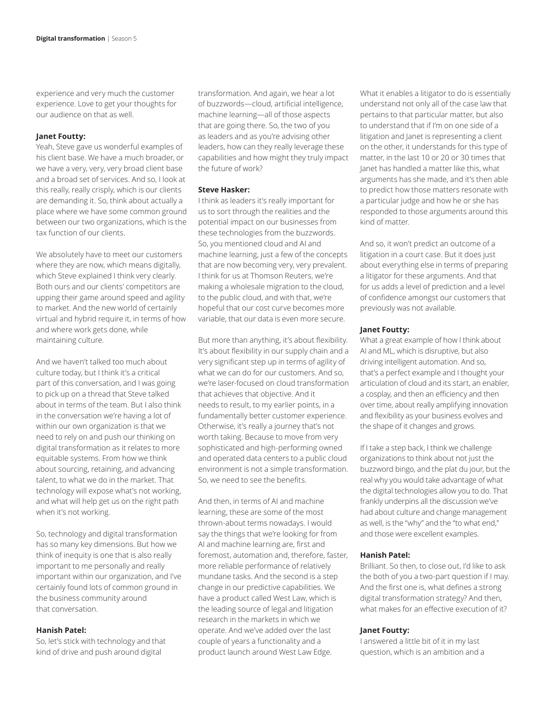experience and very much the customer experience. Love to get your thoughts for our audience on that as well.

#### **Janet Foutty:**

Yeah, Steve gave us wonderful examples of his client base. We have a much broader, or we have a very, very, very broad client base and a broad set of services. And so, I look at this really, really crisply, which is our clients are demanding it. So, think about actually a place where we have some common ground between our two organizations, which is the tax function of our clients.

We absolutely have to meet our customers where they are now, which means digitally, which Steve explained I think very clearly. Both ours and our clients' competitors are upping their game around speed and agility to market. And the new world of certainly virtual and hybrid require it, in terms of how and where work gets done, while maintaining culture.

And we haven't talked too much about culture today, but I think it's a critical part of this conversation, and I was going to pick up on a thread that Steve talked about in terms of the team. But I also think in the conversation we're having a lot of within our own organization is that we need to rely on and push our thinking on digital transformation as it relates to more equitable systems. From how we think about sourcing, retaining, and advancing talent, to what we do in the market. That technology will expose what's not working, and what will help get us on the right path when it's not working.

So, technology and digital transformation has so many key dimensions. But how we think of inequity is one that is also really important to me personally and really important within our organization, and I've certainly found lots of common ground in the business community around that conversation.

#### **Hanish Patel:**

So, let's stick with technology and that kind of drive and push around digital

transformation. And again, we hear a lot of buzzwords—cloud, artificial intelligence, machine learning—all of those aspects that are going there. So, the two of you as leaders and as you're advising other leaders, how can they really leverage these capabilities and how might they truly impact the future of work?

#### **Steve Hasker:**

I think as leaders it's really important for us to sort through the realities and the potential impact on our businesses from these technologies from the buzzwords. So, you mentioned cloud and AI and machine learning, just a few of the concepts that are now becoming very, very prevalent. I think for us at Thomson Reuters, we're making a wholesale migration to the cloud, to the public cloud, and with that, we're hopeful that our cost curve becomes more variable, that our data is even more secure.

But more than anything, it's about flexibility. It's about flexibility in our supply chain and a very significant step up in terms of agility of what we can do for our customers. And so, we're laser-focused on cloud transformation that achieves that objective. And it needs to result, to my earlier points, in a fundamentally better customer experience. Otherwise, it's really a journey that's not worth taking. Because to move from very sophisticated and high-performing owned and operated data centers to a public cloud environment is not a simple transformation. So, we need to see the benefits.

And then, in terms of AI and machine learning, these are some of the most thrown-about terms nowadays. I would say the things that we're looking for from AI and machine learning are, first and foremost, automation and, therefore, faster, more reliable performance of relatively mundane tasks. And the second is a step change in our predictive capabilities. We have a product called West Law, which is the leading source of legal and litigation research in the markets in which we operate. And we've added over the last couple of years a functionality and a product launch around West Law Edge.

What it enables a litigator to do is essentially understand not only all of the case law that pertains to that particular matter, but also to understand that if I'm on one side of a litigation and Janet is representing a client on the other, it understands for this type of matter, in the last 10 or 20 or 30 times that Janet has handled a matter like this, what arguments has she made, and it's then able to predict how those matters resonate with a particular judge and how he or she has responded to those arguments around this kind of matter.

And so, it won't predict an outcome of a litigation in a court case. But it does just about everything else in terms of preparing a litigator for these arguments. And that for us adds a level of prediction and a level of confidence amongst our customers that previously was not available.

#### **Janet Foutty:**

What a great example of how I think about AI and ML, which is disruptive, but also driving intelligent automation. And so, that's a perfect example and I thought your articulation of cloud and its start, an enabler, a cosplay, and then an efficiency and then over time, about really amplifying innovation and flexibility as your business evolves and the shape of it changes and grows.

If I take a step back, I think we challenge organizations to think about not just the buzzword bingo, and the plat du jour, but the real why you would take advantage of what the digital technologies allow you to do. That frankly underpins all the discussion we've had about culture and change management as well, is the "why" and the "to what end," and those were excellent examples.

#### **Hanish Patel:**

Brilliant. So then, to close out, I'd like to ask the both of you a two-part question if I may. And the first one is, what defines a strong digital transformation strategy? And then, what makes for an effective execution of it?

#### **Janet Foutty:**

I answered a little bit of it in my last question, which is an ambition and a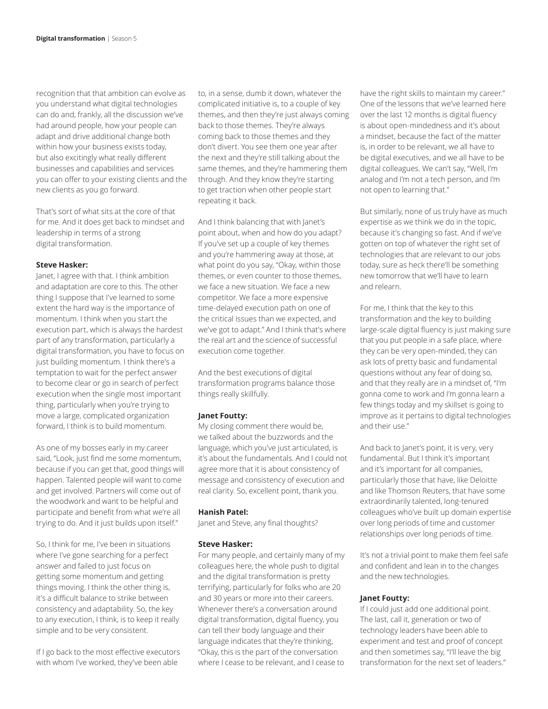recognition that that ambition can evolve as you understand what digital technologies can do and, frankly, all the discussion we've had around people, how your people can adapt and drive additional change both within how your business exists today, but also excitingly what really different businesses and capabilities and services you can offer to your existing clients and the new clients as you go forward.

That's sort of what sits at the core of that for me. And it does get back to mindset and leadership in terms of a strong digital transformation.

#### **Steve Hasker:**

Janet, I agree with that. I think ambition and adaptation are core to this. The other thing I suppose that I've learned to some extent the hard way is the importance of momentum. I think when you start the execution part, which is always the hardest part of any transformation, particularly a digital transformation, you have to focus on just building momentum. I think there's a temptation to wait for the perfect answer to become clear or go in search of perfect execution when the single most important thing, particularly when you're trying to move a large, complicated organization forward, I think is to build momentum.

As one of my bosses early in my career said, "Look, just find me some momentum, because if you can get that, good things will happen. Talented people will want to come and get involved. Partners will come out of the woodwork and want to be helpful and participate and benefit from what we're all trying to do. And it just builds upon itself."

So, I think for me, I've been in situations where I've gone searching for a perfect answer and failed to just focus on getting some momentum and getting things moving. I think the other thing is, it's a difficult balance to strike between consistency and adaptability. So, the key to any execution, I think, is to keep it really simple and to be very consistent.

If I go back to the most effective executors with whom I've worked, they've been able

to, in a sense, dumb it down, whatever the complicated initiative is, to a couple of key themes, and then they're just always coming back to those themes. They're always coming back to those themes and they don't divert. You see them one year after the next and they're still talking about the same themes, and they're hammering them through. And they know they're starting to get traction when other people start repeating it back.

And I think balancing that with Janet's point about, when and how do you adapt? If you've set up a couple of key themes and you're hammering away at those, at what point do you say, "Okay, within those themes, or even counter to those themes, we face a new situation. We face a new competitor. We face a more expensive time-delayed execution path on one of the critical issues than we expected, and we've got to adapt." And I think that's where the real art and the science of successful execution come together.

And the best executions of digital transformation programs balance those things really skillfully.

#### **Janet Foutty:**

My closing comment there would be, we talked about the buzzwords and the language, which you've just articulated, is it's about the fundamentals. And I could not agree more that it is about consistency of message and consistency of execution and real clarity. So, excellent point, thank you.

#### **Hanish Patel:**

Janet and Steve, any final thoughts?

#### **Steve Hasker:**

For many people, and certainly many of my colleagues here, the whole push to digital and the digital transformation is pretty terrifying, particularly for folks who are 20 and 30 years or more into their careers. Whenever there's a conversation around digital transformation, digital fluency, you can tell their body language and their language indicates that they're thinking, "Okay, this is the part of the conversation where I cease to be relevant, and I cease to

have the right skills to maintain my career." One of the lessons that we've learned here over the last 12 months is digital fluency is about open-mindedness and it's about a mindset, because the fact of the matter is, in order to be relevant, we all have to be digital executives, and we all have to be digital colleagues. We can't say, "Well, I'm analog and I'm not a tech person, and I'm not open to learning that."

But similarly, none of us truly have as much expertise as we think we do in the topic, because it's changing so fast. And if we've gotten on top of whatever the right set of technologies that are relevant to our jobs today, sure as heck there'll be something new tomorrow that we'll have to learn and relearn.

For me, I think that the key to this transformation and the key to building large-scale digital fluency is just making sure that you put people in a safe place, where they can be very open-minded, they can ask lots of pretty basic and fundamental questions without any fear of doing so, and that they really are in a mindset of, "I'm gonna come to work and I'm gonna learn a few things today and my skillset is going to improve as it pertains to digital technologies and their use."

And back to Janet's point, it is very, very fundamental. But I think it's important and it's important for all companies, particularly those that have, like Deloitte and like Thomson Reuters, that have some extraordinarily talented, long-tenured colleagues who've built up domain expertise over long periods of time and customer relationships over long periods of time.

It's not a trivial point to make them feel safe and confident and lean in to the changes and the new technologies.

#### **Janet Foutty:**

If I could just add one additional point. The last, call it, generation or two of technology leaders have been able to experiment and test and proof of concept and then sometimes say, "I'll leave the big transformation for the next set of leaders."